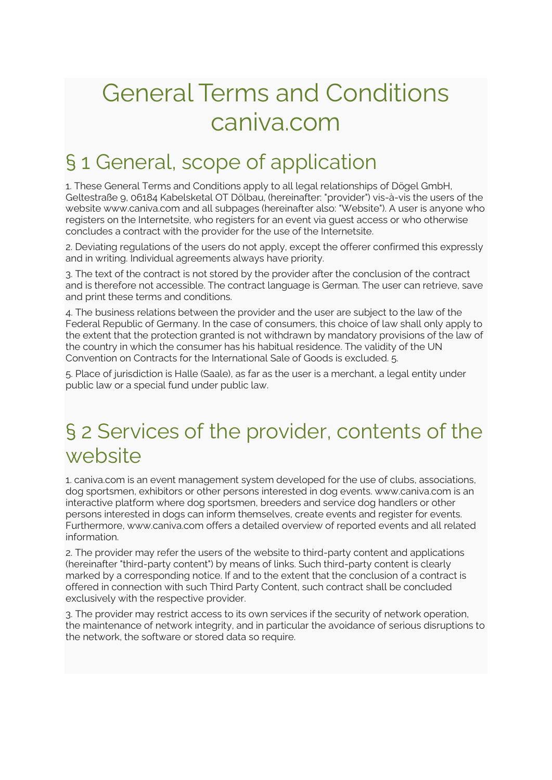# General Terms and Conditions caniva.com

## § 1 General, scope of application

1. These General Terms and Conditions apply to all legal relationships of Dögel GmbH, Geltestraße 9, 06184 Kabelsketal OT Dölbau, (hereinafter: "provider") vis-à-vis the users of the website www.caniva.com and all subpages (hereinafter also: "Website"). A user is anyone who registers on the Internetsite, who registers for an event via guest access or who otherwise concludes a contract with the provider for the use of the Internetsite.

2. Deviating regulations of the users do not apply, except the offerer confirmed this expressly and in writing. Individual agreements always have priority.

3. The text of the contract is not stored by the provider after the conclusion of the contract and is therefore not accessible. The contract language is German. The user can retrieve, save and print these terms and conditions.

4. The business relations between the provider and the user are subject to the law of the Federal Republic of Germany. In the case of consumers, this choice of law shall only apply to the extent that the protection granted is not withdrawn by mandatory provisions of the law of the country in which the consumer has his habitual residence. The validity of the UN Convention on Contracts for the International Sale of Goods is excluded. 5.

5. Place of jurisdiction is Halle (Saale), as far as the user is a merchant, a legal entity under public law or a special fund under public law.

### § 2 Services of the provider, contents of the website

1. caniva.com is an event management system developed for the use of clubs, associations, dog sportsmen, exhibitors or other persons interested in dog events. www.caniva.com is an interactive platform where dog sportsmen, breeders and service dog handlers or other persons interested in dogs can inform themselves, create events and register for events. Furthermore, www.caniva.com offers a detailed overview of reported events and all related information.

2. The provider may refer the users of the website to third-party content and applications (hereinafter "third-party content") by means of links. Such third-party content is clearly marked by a corresponding notice. If and to the extent that the conclusion of a contract is offered in connection with such Third Party Content, such contract shall be concluded exclusively with the respective provider.

3. The provider may restrict access to its own services if the security of network operation, the maintenance of network integrity, and in particular the avoidance of serious disruptions to the network, the software or stored data so require.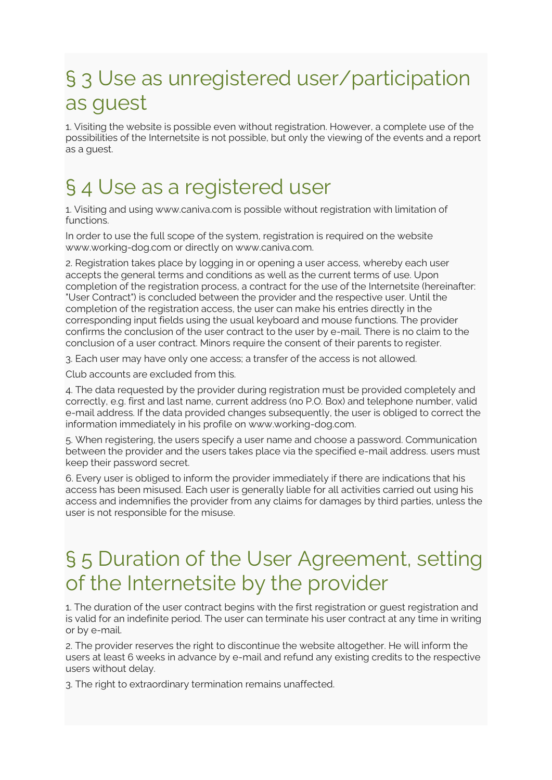## § 3 Use as unregistered user/participation as guest

1. Visiting the website is possible even without registration. However, a complete use of the possibilities of the Internetsite is not possible, but only the viewing of the events and a report as a guest.

## § 4 Use as a registered user

1. Visiting and using www.caniva.com is possible without registration with limitation of functions.

In order to use the full scope of the system, registration is required on the website www.working-dog.com or directly on www.caniva.com.

2. Registration takes place by logging in or opening a user access, whereby each user accepts the general terms and conditions as well as the current terms of use. Upon completion of the registration process, a contract for the use of the Internetsite (hereinafter: "User Contract") is concluded between the provider and the respective user. Until the completion of the registration access, the user can make his entries directly in the corresponding input fields using the usual keyboard and mouse functions. The provider confirms the conclusion of the user contract to the user by e-mail. There is no claim to the conclusion of a user contract. Minors require the consent of their parents to register.

3. Each user may have only one access; a transfer of the access is not allowed.

Club accounts are excluded from this.

4. The data requested by the provider during registration must be provided completely and correctly, e.g. first and last name, current address (no P.O. Box) and telephone number, valid e-mail address. If the data provided changes subsequently, the user is obliged to correct the information immediately in his profile on www.working-dog.com.

5. When registering, the users specify a user name and choose a password. Communication between the provider and the users takes place via the specified e-mail address. users must keep their password secret.

6. Every user is obliged to inform the provider immediately if there are indications that his access has been misused. Each user is generally liable for all activities carried out using his access and indemnifies the provider from any claims for damages by third parties, unless the user is not responsible for the misuse.

## § 5 Duration of the User Agreement, setting of the Internetsite by the provider

1. The duration of the user contract begins with the first registration or guest registration and is valid for an indefinite period. The user can terminate his user contract at any time in writing or by e-mail.

2. The provider reserves the right to discontinue the website altogether. He will inform the users at least 6 weeks in advance by e-mail and refund any existing credits to the respective users without delay.

3. The right to extraordinary termination remains unaffected.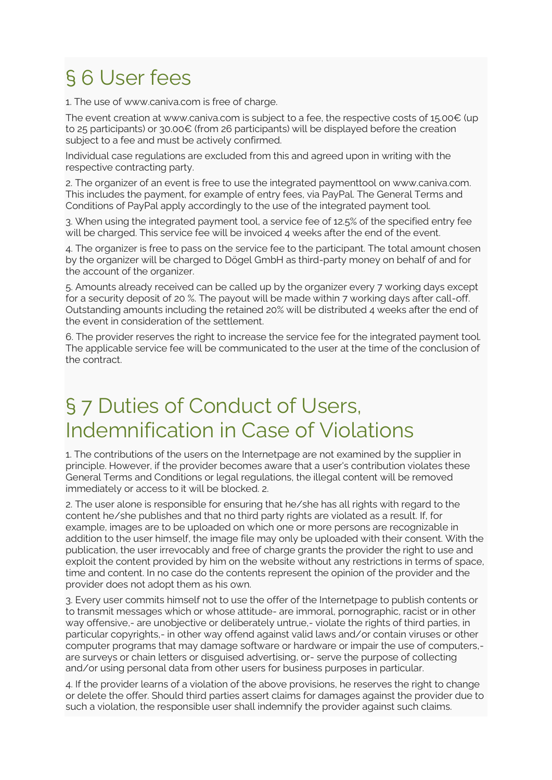## § 6 User fees

1. The use of www.caniva.com is free of charge.

The event creation at www.caniva.com is subject to a fee, the respective costs of 15.00 $\in$  (up to 25 participants) or 30.00€ (from 26 participants) will be displayed before the creation subject to a fee and must be actively confirmed.

Individual case regulations are excluded from this and agreed upon in writing with the respective contracting party.

2. The organizer of an event is free to use the integrated paymenttool on www.caniva.com. This includes the payment, for example of entry fees, via PayPal. The General Terms and Conditions of PayPal apply accordingly to the use of the integrated payment tool.

3. When using the integrated payment tool, a service fee of 12.5% of the specified entry fee will be charged. This service fee will be invoiced 4 weeks after the end of the event.

4. The organizer is free to pass on the service fee to the participant. The total amount chosen by the organizer will be charged to Dögel GmbH as third-party money on behalf of and for the account of the organizer.

5. Amounts already received can be called up by the organizer every 7 working days except for a security deposit of 20 %. The payout will be made within 7 working days after call-off. Outstanding amounts including the retained 20% will be distributed 4 weeks after the end of the event in consideration of the settlement.

6. The provider reserves the right to increase the service fee for the integrated payment tool. The applicable service fee will be communicated to the user at the time of the conclusion of the contract.

## § 7 Duties of Conduct of Users, Indemnification in Case of Violations

1. The contributions of the users on the Internetpage are not examined by the supplier in principle. However, if the provider becomes aware that a user's contribution violates these General Terms and Conditions or legal regulations, the illegal content will be removed immediately or access to it will be blocked. 2.

2. The user alone is responsible for ensuring that he/she has all rights with regard to the content he/she publishes and that no third party rights are violated as a result. If, for example, images are to be uploaded on which one or more persons are recognizable in addition to the user himself, the image file may only be uploaded with their consent. With the publication, the user irrevocably and free of charge grants the provider the right to use and exploit the content provided by him on the website without any restrictions in terms of space, time and content. In no case do the contents represent the opinion of the provider and the provider does not adopt them as his own.

3. Every user commits himself not to use the offer of the Internetpage to publish contents or to transmit messages which or whose attitude- are immoral, pornographic, racist or in other way offensive,- are unobjective or deliberately untrue,- violate the rights of third parties, in particular copyrights,- in other way offend against valid laws and/or contain viruses or other computer programs that may damage software or hardware or impair the use of computers, are surveys or chain letters or disguised advertising, or- serve the purpose of collecting and/or using personal data from other users for business purposes in particular.

4. If the provider learns of a violation of the above provisions, he reserves the right to change or delete the offer. Should third parties assert claims for damages against the provider due to such a violation, the responsible user shall indemnify the provider against such claims.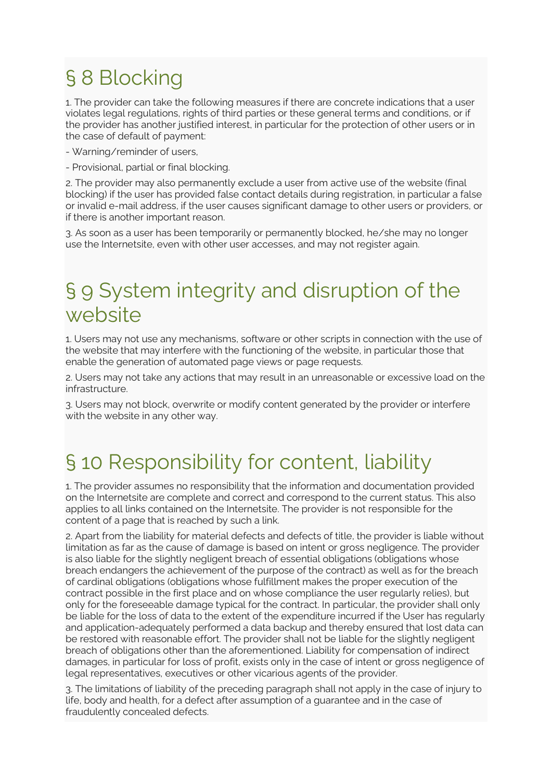## § 8 Blocking

1. The provider can take the following measures if there are concrete indications that a user violates legal regulations, rights of third parties or these general terms and conditions, or if the provider has another justified interest, in particular for the protection of other users or in the case of default of payment:

- Warning/reminder of users,

- Provisional, partial or final blocking.

2. The provider may also permanently exclude a user from active use of the website (final blocking) if the user has provided false contact details during registration, in particular a false or invalid e-mail address, if the user causes significant damage to other users or providers, or if there is another important reason.

3. As soon as a user has been temporarily or permanently blocked, he/she may no longer use the Internetsite, even with other user accesses, and may not register again.

## § 9 System integrity and disruption of the website

1. Users may not use any mechanisms, software or other scripts in connection with the use of the website that may interfere with the functioning of the website, in particular those that enable the generation of automated page views or page requests.

2. Users may not take any actions that may result in an unreasonable or excessive load on the infrastructure.

3. Users may not block, overwrite or modify content generated by the provider or interfere with the website in any other way.

## § 10 Responsibility for content, liability

1. The provider assumes no responsibility that the information and documentation provided on the Internetsite are complete and correct and correspond to the current status. This also applies to all links contained on the Internetsite. The provider is not responsible for the content of a page that is reached by such a link.

2. Apart from the liability for material defects and defects of title, the provider is liable without limitation as far as the cause of damage is based on intent or gross negligence. The provider is also liable for the slightly negligent breach of essential obligations (obligations whose breach endangers the achievement of the purpose of the contract) as well as for the breach of cardinal obligations (obligations whose fulfillment makes the proper execution of the contract possible in the first place and on whose compliance the user regularly relies), but only for the foreseeable damage typical for the contract. In particular, the provider shall only be liable for the loss of data to the extent of the expenditure incurred if the User has regularly and application-adequately performed a data backup and thereby ensured that lost data can be restored with reasonable effort. The provider shall not be liable for the slightly negligent breach of obligations other than the aforementioned. Liability for compensation of indirect damages, in particular for loss of profit, exists only in the case of intent or gross negligence of legal representatives, executives or other vicarious agents of the provider.

3. The limitations of liability of the preceding paragraph shall not apply in the case of injury to life, body and health, for a defect after assumption of a guarantee and in the case of fraudulently concealed defects.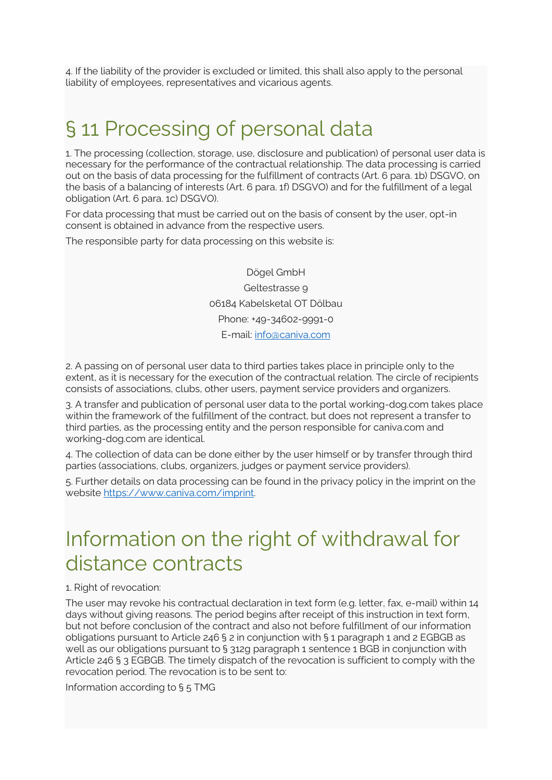4. If the liability of the provider is excluded or limited, this shall also apply to the personal liability of employees, representatives and vicarious agents.

## § 11 Processing of personal data

1. The processing (collection, storage, use, disclosure and publication) of personal user data is necessary for the performance of the contractual relationship. The data processing is carried out on the basis of data processing for the fulfillment of contracts (Art. 6 para. 1b) DSGVO, on the basis of a balancing of interests (Art. 6 para. 1f) DSGVO) and for the fulfillment of a legal obligation (Art. 6 para. 1c) DSGVO).

For data processing that must be carried out on the basis of consent by the user, opt-in consent is obtained in advance from the respective users.

The responsible party for data processing on this website is:

Dögel GmbH Geltestrasse 9 06184 Kabelsketal OT Dölbau Phone: +49-34602-9991-0 E-mail: [info@caniva.com](mailto:info@caniva.com)

2. A passing on of personal user data to third parties takes place in principle only to the extent, as it is necessary for the execution of the contractual relation. The circle of recipients consists of associations, clubs, other users, payment service providers and organizers.

3. A transfer and publication of personal user data to the portal working-dog.com takes place within the framework of the fulfillment of the contract, but does not represent a transfer to third parties, as the processing entity and the person responsible for caniva.com and working-dog.com are identical.

4. The collection of data can be done either by the user himself or by transfer through third parties (associations, clubs, organizers, judges or payment service providers).

5. Further details on data processing can be found in the privacy policy in the imprint on the website [https://www.caniva.com/imprint.](https://www.caniva.com/imprint)

## Information on the right of withdrawal for distance contracts

1. Right of revocation:

The user may revoke his contractual declaration in text form (e.g. letter, fax, e-mail) within 14 days without giving reasons. The period begins after receipt of this instruction in text form, but not before conclusion of the contract and also not before fulfillment of our information obligations pursuant to Article 246 § 2 in conjunction with § 1 paragraph 1 and 2 EGBGB as well as our obligations pursuant to § 312g paragraph 1 sentence 1 BGB in conjunction with Article 246 § 3 EGBGB. The timely dispatch of the revocation is sufficient to comply with the revocation period. The revocation is to be sent to:

Information according to § 5 TMG